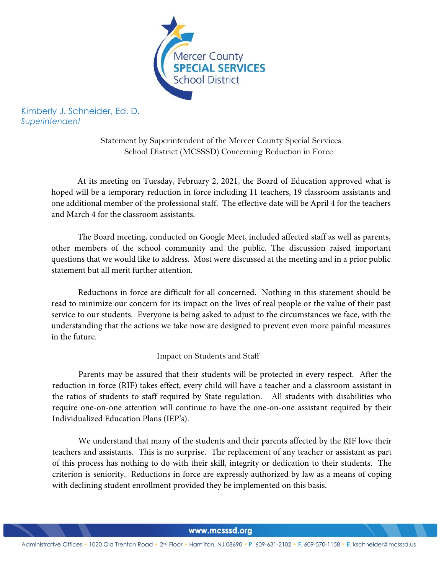

Kimberly J. Schneider, Ed. D. *Superintendent*

> Statement by Superintendent of the Mercer County Special Services School District (MCSSSD) Concerning Reduction in Force

At its meeting on Tuesday, February 2, 2021, the Board of Education approved what is hoped will be a temporary reduction in force including 11 teachers, 19 classroom assistants and one additional member of the professional staff. The effective date will be April 4 for the teachers and March 4 for the classroom assistants.

 The Board meeting, conducted on Google Meet, included affected staff as well as parents, other members of the school community and the public. The discussion raised important questions that we would like to address. Most were discussed at the meeting and in a prior public statement but all merit further attention.

 Reductions in force are difficult for all concerned. Nothing in this statement should be read to minimize our concern for its impact on the lives of real people or the value of their past service to our students. Everyone is being asked to adjust to the circumstances we face, with the understanding that the actions we take now are designed to prevent even more painful measures in the future.

# Impact on Students and Staff

Parents may be assured that their students will be protected in every respect. After the reduction in force (RIF) takes effect, every child will have a teacher and a classroom assistant in the ratios of students to staff required by State regulation. All students with disabilities who require one-on-one attention will continue to have the one-on-one assistant required by their Individualized Education Plans (IEP's).

We understand that many of the students and their parents affected by the RIF love their teachers and assistants. This is no surprise. The replacement of any teacher or assistant as part of this process has nothing to do with their skill, integrity or dedication to their students. The criterion is seniority. Reductions in force are expressly authorized by law as a means of coping with declining student enrollment provided they be implemented on this basis.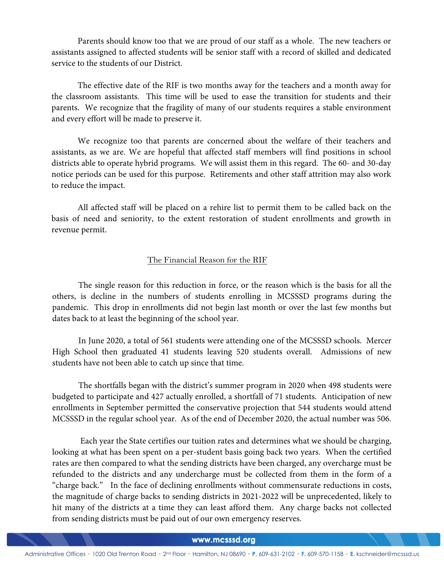Parents should know too that we are proud of our staff as a whole. The new teachers or assistants assigned to affected students will be senior staff with a record of skilled and dedicated service to the students of our District.

The effective date of the RIF is two months away for the teachers and a month away for the classroom assistants. This time will be used to ease the transition for students and their parents. We recognize that the fragility of many of our students requires a stable environment and every effort will be made to preserve it.

We recognize too that parents are concerned about the welfare of their teachers and assistants, as we are. We are hopeful that affected staff members will find positions in school districts able to operate hybrid programs. We will assist them in this regard. The 60- and 30-day notice periods can be used for this purpose. Retirements and other staff attrition may also work to reduce the impact.

All affected staff will be placed on a rehire list to permit them to be called back on the basis of need and seniority, to the extent restoration of student enrollments and growth in revenue permit.

#### The Financial Reason for the RIF

The single reason for this reduction in force, or the reason which is the basis for all the others, is decline in the numbers of students enrolling in MCSSSD programs during the pandemic. This drop in enrollments did not begin last month or over the last few months but dates back to at least the beginning of the school year.

In June 2020, a total of 561 students were attending one of the MCSSSD schools. Mercer High School then graduated 41 students leaving 520 students overall. Admissions of new students have not been able to catch up since that time.

The shortfalls began with the district's summer program in 2020 when 498 students were budgeted to participate and 427 actually enrolled, a shortfall of 71 students. Anticipation of new enrollments in September permitted the conservative projection that 544 students would attend MCSSSD in the regular school year. As of the end of December 2020, the actual number was 506.

 Each year the State certifies our tuition rates and determines what we should be charging, looking at what has been spent on a per-student basis going back two years. When the certified rates are then compared to what the sending districts have been charged, any overcharge must be refunded to the districts and any undercharge must be collected from them in the form of a "charge back." In the face of declining enrollments without commensurate reductions in costs, the magnitude of charge backs to sending districts in 2021-2022 will be unprecedented, likely to hit many of the districts at a time they can least afford them. Any charge backs not collected from sending districts must be paid out of our own emergency reserves.

#### www.mcsssd.org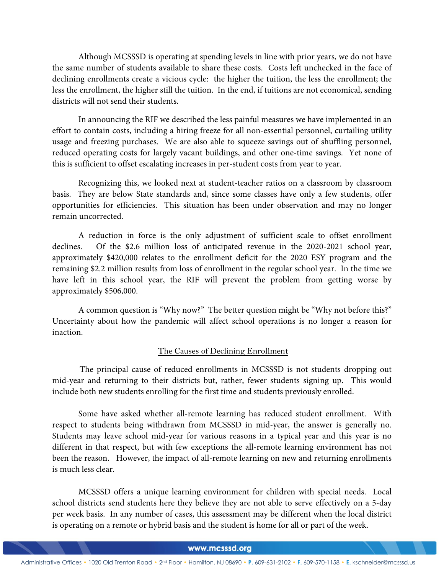Although MCSSSD is operating at spending levels in line with prior years, we do not have the same number of students available to share these costs. Costs left unchecked in the face of declining enrollments create a vicious cycle: the higher the tuition, the less the enrollment; the less the enrollment, the higher still the tuition. In the end, if tuitions are not economical, sending districts will not send their students.

In announcing the RIF we described the less painful measures we have implemented in an effort to contain costs, including a hiring freeze for all non-essential personnel, curtailing utility usage and freezing purchases. We are also able to squeeze savings out of shuffling personnel, reduced operating costs for largely vacant buildings, and other one-time savings. Yet none of this is sufficient to offset escalating increases in per-student costs from year to year.

Recognizing this, we looked next at student-teacher ratios on a classroom by classroom basis. They are below State standards and, since some classes have only a few students, offer opportunities for efficiencies. This situation has been under observation and may no longer remain uncorrected.

A reduction in force is the only adjustment of sufficient scale to offset enrollment declines. Of the \$2.6 million loss of anticipated revenue in the 2020-2021 school year, approximately \$420,000 relates to the enrollment deficit for the 2020 ESY program and the remaining \$2.2 million results from loss of enrollment in the regular school year. In the time we have left in this school year, the RIF will prevent the problem from getting worse by approximately \$506,000.

A common question is "Why now?" The better question might be "Why not before this?" Uncertainty about how the pandemic will affect school operations is no longer a reason for inaction.

## The Causes of Declining Enrollment

 The principal cause of reduced enrollments in MCSSSD is not students dropping out mid-year and returning to their districts but, rather, fewer students signing up. This would include both new students enrolling for the first time and students previously enrolled.

Some have asked whether all-remote learning has reduced student enrollment. With respect to students being withdrawn from MCSSSD in mid-year, the answer is generally no. Students may leave school mid-year for various reasons in a typical year and this year is no different in that respect, but with few exceptions the all-remote learning environment has not been the reason. However, the impact of all-remote learning on new and returning enrollments is much less clear.

MCSSSD offers a unique learning environment for children with special needs. Local school districts send students here they believe they are not able to serve effectively on a 5-day per week basis. In any number of cases, this assessment may be different when the local district is operating on a remote or hybrid basis and the student is home for all or part of the week.

#### www.mcsssd.org